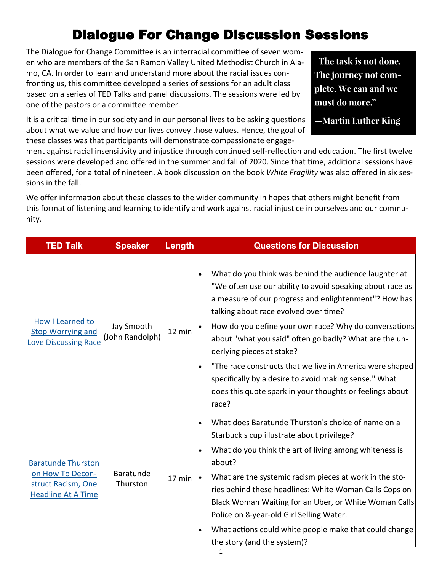## Dialogue For Change Discussion Sessions

The Dialogue for Change Committee is an interracial committee of seven women who are members of the San Ramon Valley United Methodist Church in Alamo, CA. In order to learn and understand more about the racial issues confronting us, this committee developed a series of sessions for an adult class based on a series of TED Talks and panel discussions. The sessions were led by one of the pastors or a committee member.

It is a critical time in our society and in our personal lives to be asking questions about what we value and how our lives convey those values. Hence, the goal of these classes was that participants will demonstrate compassionate engage-

The task is not done. The journey not complete. We can and we must do more."

-Martin Luther King

ment against racial insensitivity and injustice through continued self-reflection and education. The first twelve sessions were developed and offered in the summer and fall of 2020. Since that time, additional sessions have been offered, for a total of nineteen. A book discussion on the book *White Fragility* was also offered in six sessions in the fall.

We offer information about these classes to the wider community in hopes that others might benefit from this format of listening and learning to identify and work against racial injustice in ourselves and our community.

| <b>TED Talk</b>                                                                                  | <b>Speaker</b>                | Length | <b>Questions for Discussion</b>                                                                                                                                                                                                                                                                                                                                                                                                                                                                                                                                             |
|--------------------------------------------------------------------------------------------------|-------------------------------|--------|-----------------------------------------------------------------------------------------------------------------------------------------------------------------------------------------------------------------------------------------------------------------------------------------------------------------------------------------------------------------------------------------------------------------------------------------------------------------------------------------------------------------------------------------------------------------------------|
| How I Learned to<br><b>Stop Worrying and</b><br><b>Love Discussing Race</b>                      | Jay Smooth<br>(John Randolph) | 12 min | What do you think was behind the audience laughter at<br>"We often use our ability to avoid speaking about race as<br>a measure of our progress and enlightenment"? How has<br>talking about race evolved over time?<br>How do you define your own race? Why do conversations<br>about "what you said" often go badly? What are the un-<br>derlying pieces at stake?<br>"The race constructs that we live in America were shaped<br>$\bullet$<br>specifically by a desire to avoid making sense." What<br>does this quote spark in your thoughts or feelings about<br>race? |
| <b>Baratunde Thurston</b><br>on How To Decon-<br>struct Racism, One<br><b>Headline At A Time</b> | Baratunde<br>Thurston         | 17 min | What does Baratunde Thurston's choice of name on a<br>$\bullet$<br>Starbuck's cup illustrate about privilege?<br>What do you think the art of living among whiteness is<br>about?<br>What are the systemic racism pieces at work in the sto-<br>ries behind these headlines: White Woman Calls Cops on<br>Black Woman Waiting for an Uber, or White Woman Calls<br>Police on 8-year-old Girl Selling Water.<br>What actions could white people make that could change<br>the story (and the system)?                                                                        |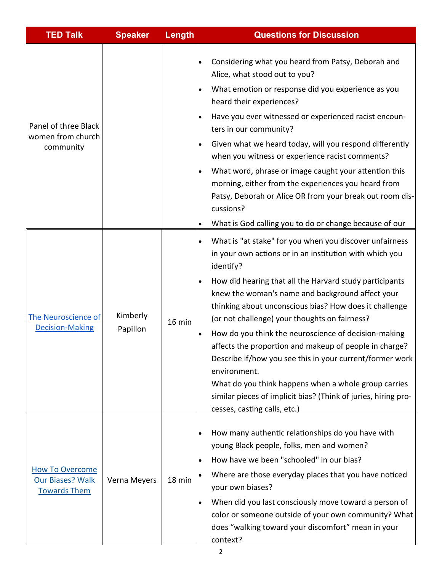| <b>TED Talk</b>                                                          | <b>Speaker</b>       | <b>Length</b> | <b>Questions for Discussion</b>                                                                                                                                                                                                                                                                                                                                                                                                                                                                                                                                                                                                                                                                                                |
|--------------------------------------------------------------------------|----------------------|---------------|--------------------------------------------------------------------------------------------------------------------------------------------------------------------------------------------------------------------------------------------------------------------------------------------------------------------------------------------------------------------------------------------------------------------------------------------------------------------------------------------------------------------------------------------------------------------------------------------------------------------------------------------------------------------------------------------------------------------------------|
| Panel of three Black<br>women from church<br>community                   |                      |               | Considering what you heard from Patsy, Deborah and<br>$\bullet$<br>Alice, what stood out to you?<br>What emotion or response did you experience as you<br>$\bullet$<br>heard their experiences?<br>Have you ever witnessed or experienced racist encoun-<br>ters in our community?<br>Given what we heard today, will you respond differently<br>$\bullet$<br>when you witness or experience racist comments?<br>What word, phrase or image caught your attention this<br>$\bullet$<br>morning, either from the experiences you heard from<br>Patsy, Deborah or Alice OR from your break out room dis-<br>cussions?<br>What is God calling you to do or change because of our                                                  |
| The Neuroscience of<br><b>Decision-Making</b>                            | Kimberly<br>Papillon | 16 min        | What is "at stake" for you when you discover unfairness<br>in your own actions or in an institution with which you<br>identify?<br>How did hearing that all the Harvard study participants<br>$\bullet$<br>knew the woman's name and background affect your<br>thinking about unconscious bias? How does it challenge<br>(or not challenge) your thoughts on fairness?<br>How do you think the neuroscience of decision-making<br>affects the proportion and makeup of people in charge?<br>Describe if/how you see this in your current/former work<br>environment.<br>What do you think happens when a whole group carries<br>similar pieces of implicit bias? (Think of juries, hiring pro-<br>cesses, casting calls, etc.) |
| <b>How To Overcome</b><br><b>Our Biases? Walk</b><br><b>Towards Them</b> | Verna Meyers         | 18 min        | How many authentic relationships do you have with<br>$\bullet$<br>young Black people, folks, men and women?<br>How have we been "schooled" in our bias?<br>Where are those everyday places that you have noticed<br>your own biases?<br>When did you last consciously move toward a person of<br>color or someone outside of your own community? What<br>does "walking toward your discomfort" mean in your<br>context?                                                                                                                                                                                                                                                                                                        |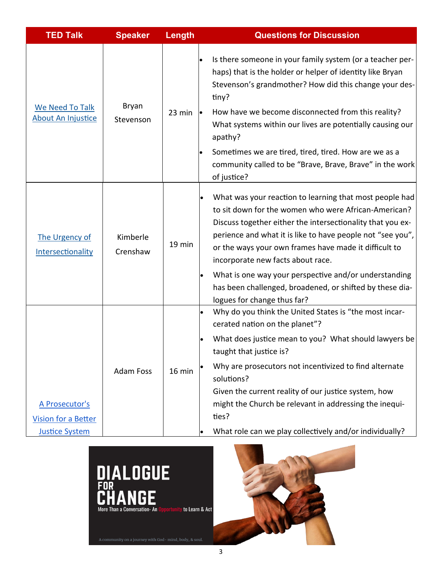| <b>TED Talk</b>                                                       | <b>Speaker</b>       | Length | <b>Questions for Discussion</b>                                                                                                                                                                                                                                                                                                                                                                                                                                                               |
|-----------------------------------------------------------------------|----------------------|--------|-----------------------------------------------------------------------------------------------------------------------------------------------------------------------------------------------------------------------------------------------------------------------------------------------------------------------------------------------------------------------------------------------------------------------------------------------------------------------------------------------|
| We Need To Talk<br><b>About An Injustice</b>                          | Bryan<br>Stevenson   | 23 min | Is there someone in your family system (or a teacher per-<br>haps) that is the holder or helper of identity like Bryan<br>Stevenson's grandmother? How did this change your des-<br>tiny?<br>How have we become disconnected from this reality?<br>What systems within our lives are potentially causing our<br>apathy?<br>Sometimes we are tired, tired, tired. How are we as a<br>community called to be "Brave, Brave, Brave" in the work<br>of justice?                                   |
| The Urgency of<br>Intersectionality                                   | Kimberle<br>Crenshaw | 19 min | What was your reaction to learning that most people had<br>to sit down for the women who were African-American?<br>Discuss together either the intersectionality that you ex-<br>perience and what it is like to have people not "see you",<br>or the ways your own frames have made it difficult to<br>incorporate new facts about race.<br>What is one way your perspective and/or understanding<br>has been challenged, broadened, or shifted by these dia-<br>logues for change thus far? |
| A Prosecutor's<br><b>Vision for a Better</b><br><b>Justice System</b> | <b>Adam Foss</b>     | 16 min | Why do you think the United States is "the most incar-<br>cerated nation on the planet"?<br>What does justice mean to you? What should lawyers be<br>taught that justice is?<br>Why are prosecutors not incentivized to find alternate<br>solutions?<br>Given the current reality of our justice system, how<br>might the Church be relevant in addressing the inequi-<br>ties?<br>What role can we play collectively and/or individually?                                                    |



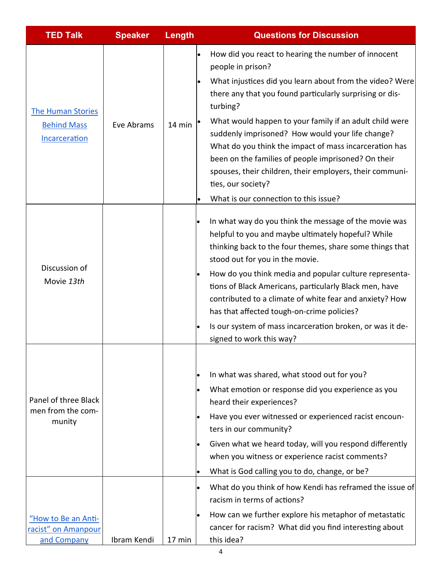| <b>TED Talk</b>                                                 | <b>Speaker</b> | Length | <b>Questions for Discussion</b>                                                                                                                                                                                                                                                                                                                                                                                                                                                                                                                                         |
|-----------------------------------------------------------------|----------------|--------|-------------------------------------------------------------------------------------------------------------------------------------------------------------------------------------------------------------------------------------------------------------------------------------------------------------------------------------------------------------------------------------------------------------------------------------------------------------------------------------------------------------------------------------------------------------------------|
| <b>The Human Stories</b><br><b>Behind Mass</b><br>Incarceration | Eve Abrams     | 14 min | How did you react to hearing the number of innocent<br>people in prison?<br>What injustices did you learn about from the video? Were<br>there any that you found particularly surprising or dis-<br>turbing?<br>What would happen to your family if an adult child were<br>suddenly imprisoned? How would your life change?<br>What do you think the impact of mass incarceration has<br>been on the families of people imprisoned? On their<br>spouses, their children, their employers, their communi-<br>ties, our society?<br>What is our connection to this issue? |
| Discussion of<br>Movie 13th                                     |                |        | In what way do you think the message of the movie was<br>$\bullet$<br>helpful to you and maybe ultimately hopeful? While<br>thinking back to the four themes, share some things that<br>stood out for you in the movie.<br>How do you think media and popular culture representa-<br>tions of Black Americans, particularly Black men, have<br>contributed to a climate of white fear and anxiety? How<br>has that affected tough-on-crime policies?<br>Is our system of mass incarceration broken, or was it de-<br>signed to work this way?                           |
| Panel of three Black<br>men from the com-<br>munity             |                |        | In what was shared, what stood out for you?<br>What emotion or response did you experience as you<br>$\bullet$<br>heard their experiences?<br>Have you ever witnessed or experienced racist encoun-<br>ters in our community?<br>Given what we heard today, will you respond differently<br>when you witness or experience racist comments?<br>What is God calling you to do, change, or be?<br>What do you think of how Kendi has reframed the issue of<br>$\bullet$<br>racism in terms of actions?                                                                    |
| "How to Be an Anti-<br>racist" on Amanpour<br>and Company       | Ibram Kendi    | 17 min | How can we further explore his metaphor of metastatic<br>cancer for racism? What did you find interesting about<br>this idea?                                                                                                                                                                                                                                                                                                                                                                                                                                           |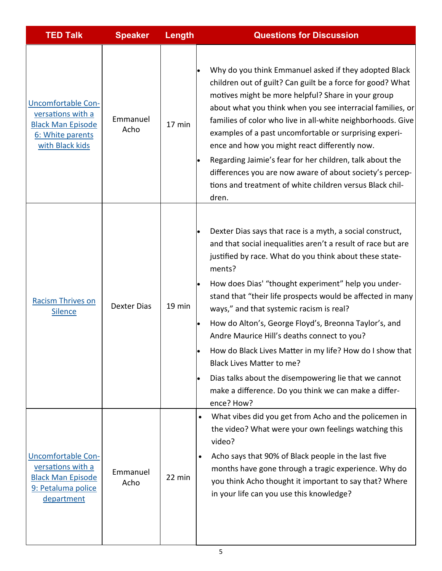| <b>TED Talk</b>                                                                                                   | <b>Speaker</b>     | <b>Length</b> | <b>Questions for Discussion</b>                                                                                                                                                                                                                                                                                                                                                                                                                                                                                                                                                                                                                                                                         |
|-------------------------------------------------------------------------------------------------------------------|--------------------|---------------|---------------------------------------------------------------------------------------------------------------------------------------------------------------------------------------------------------------------------------------------------------------------------------------------------------------------------------------------------------------------------------------------------------------------------------------------------------------------------------------------------------------------------------------------------------------------------------------------------------------------------------------------------------------------------------------------------------|
| <b>Uncomfortable Con-</b><br>versations with a<br><b>Black Man Episode</b><br>6: White parents<br>with Black kids | Emmanuel<br>Acho   | 17 min        | Why do you think Emmanuel asked if they adopted Black<br>children out of guilt? Can guilt be a force for good? What<br>motives might be more helpful? Share in your group<br>about what you think when you see interracial families, or<br>families of color who live in all-white neighborhoods. Give<br>examples of a past uncomfortable or surprising experi-<br>ence and how you might react differently now.<br>Regarding Jaimie's fear for her children, talk about the<br>differences you are now aware of about society's percep-<br>tions and treatment of white children versus Black chil-<br>dren.                                                                                          |
| <b>Racism Thrives on</b><br><b>Silence</b>                                                                        | <b>Dexter Dias</b> | 19 min        | Dexter Dias says that race is a myth, a social construct,<br>and that social inequalities aren't a result of race but are<br>justified by race. What do you think about these state-<br>ments?<br>How does Dias' "thought experiment" help you under-<br>stand that "their life prospects would be affected in many<br>ways," and that systemic racism is real?<br>How do Alton's, George Floyd's, Breonna Taylor's, and<br>Andre Maurice Hill's deaths connect to you?<br>How do Black Lives Matter in my life? How do I show that<br><b>Black Lives Matter to me?</b><br>Dias talks about the disempowering lie that we cannot<br>make a difference. Do you think we can make a differ-<br>ence? How? |
| <b>Uncomfortable Con-</b><br>versations with a<br><b>Black Man Episode</b><br>9: Petaluma police<br>department    | Emmanuel<br>Acho   | 22 min        | What vibes did you get from Acho and the policemen in<br>$\bullet$<br>the video? What were your own feelings watching this<br>video?<br>Acho says that 90% of Black people in the last five<br>$\bullet$<br>months have gone through a tragic experience. Why do<br>you think Acho thought it important to say that? Where<br>in your life can you use this knowledge?                                                                                                                                                                                                                                                                                                                                  |